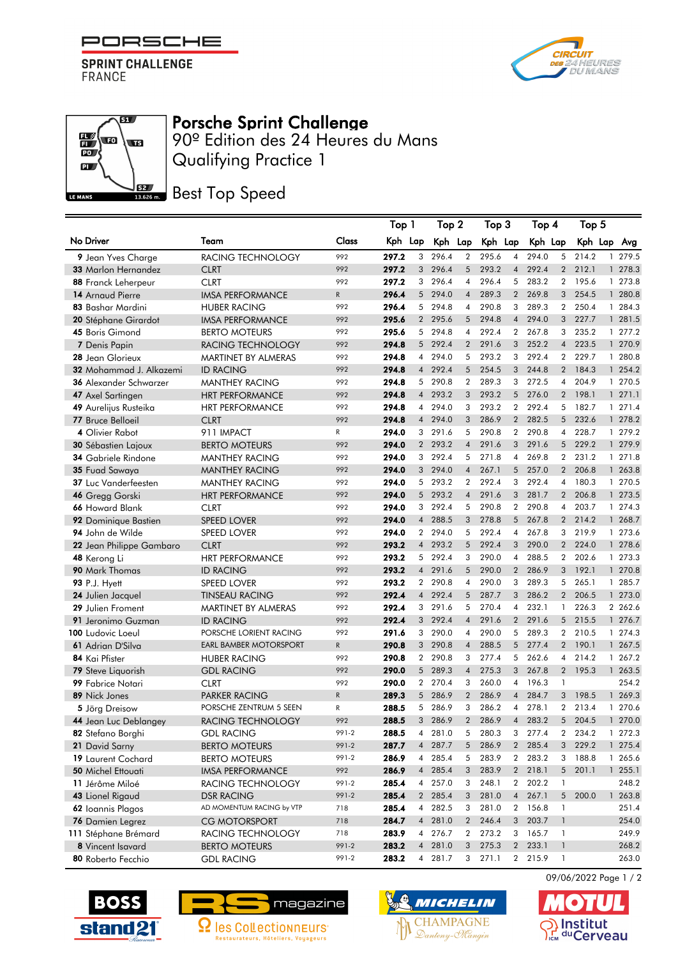

**SPRINT CHALLENGE** FRANCE

**THE** 

 $\mathbb{E}\left( \mathbf{E}\right)$ 

 $\overline{PQ}$  $\overline{\mathbf{a}}$ 

LE MANS



## Porsche Sprint Challenge

Qualifying Practice 1 90º Edition des 24 Heures du Mans

**BEZ** Best Top Speed

|                                       |                                                |                | Top 1          |                     | Top 2          |                     | Top 3          |                     | Top 4          |                | Top 5            |   |                    |
|---------------------------------------|------------------------------------------------|----------------|----------------|---------------------|----------------|---------------------|----------------|---------------------|----------------|----------------|------------------|---|--------------------|
| No Driver                             | Team                                           | Class          | Kph Lap        |                     | Kph Lap        |                     | Kph Lap        |                     | Kph Lap        |                | Kph Lap          |   | Avg                |
| 9 Jean Yves Charge                    | RACING TECHNOLOGY                              | 992            | 297.2          | 3                   | 296.4          | $\overline{2}$      | 295.6          | $\overline{4}$      | 294.0          | 5              | 214.2            |   | 1 279.5            |
| <b>33 Marlon Hernandez</b>            | <b>CLRT</b>                                    | 992            | 297.2          | 3                   | 296.4          | 5                   | 293.2          | $\overline{4}$      | 292.4          |                | 2 212.1          |   | 1 278.3            |
| 88 Franck Leherpeur                   | <b>CLRT</b>                                    | 992            | 297.2          | 3                   | 296.4          | $\overline{4}$      | 296.4          | 5                   | 283.2          |                | 2 195.6          |   | 1 273.8            |
| 14 Arnaud Pierre                      | <b>IMSA PERFORMANCE</b>                        | ${\sf R}$      | 296.4          | 5 <sup>5</sup>      | 294.0          | $\overline{4}$      | 289.3          | 2                   | 269.8          | 3 <sup>1</sup> | 254.5            |   | 1 280.8            |
| 83 Bashar Mardini                     | <b>HUBER RACING</b>                            | 992            | 296.4          | 5                   | 294.8          | $\overline{4}$      | 290.8          | 3                   | 289.3          | $\overline{2}$ | 250.4            |   | 1 284.3            |
| 20 Stéphane Girardot                  | <b>IMSA PERFORMANCE</b>                        | 992            | 295.6          |                     | 2 295.6        | 5                   | 294.8          | $\overline{4}$      | 294.0          |                | 3 227.7          |   | 1 281.5            |
| 45 Boris Gimond                       | <b>BERTO MOTEURS</b>                           | 992            | 295.6          | 5                   | 294.8          | 4                   | 292.4          | $\overline{2}$      | 267.8          | 3              | 235.2            |   | 1 277.2            |
| 7 Denis Papin                         | RACING TECHNOLOGY                              | 992            | 294.8          | 5 <sup>5</sup>      | 292.4          | $\overline{2}$      | 291.6          | 3                   | 252.2          | $\overline{4}$ | 223.5            |   | 1 270.9            |
| 28 Jean Glorieux                      | MARTINET BY ALMERAS                            | 992            | 294.8          | $\overline{4}$      | 294.0          | 5                   | 293.2          | 3                   | 292.4          | $\overline{2}$ | 229.7            |   | 1 280.8            |
| 32 Mohammad J. Alkazemi               | <b>ID RACING</b>                               | 992            | 294.8          | $\overline{4}$      | 292.4          | 5                   | 254.5          | 3                   | 244.8          | $\overline{2}$ | 184.3            |   | 1 254.2            |
| <b>36 Alexander Schwarzer</b>         | <b>MANTHEY RACING</b>                          | 992            | 294.8          | 5                   | 290.8          | $\overline{2}$      | 289.3          | 3                   | 272.5          | $\overline{4}$ | 204.9            |   | 1 270.5            |
| 47 Axel Sartingen                     | <b>HRT PERFORMANCE</b>                         | 992            | 294.8          | $\overline{4}$      | 293.2          | 3                   | 293.2          | 5                   | 276.0          |                | 2 198.1          |   | 1271.1             |
| 49 Aurelijus Rusteika                 | <b>HRT PERFORMANCE</b>                         | 992            | 294.8          | $\overline{4}$      | 294.0          | 3                   | 293.2          | $\overline{2}$      | 292.4          | 5              | 182.7            |   | 1271.4             |
| 77 Bruce Belloeil                     | <b>CLRT</b>                                    | 992            | 294.8          | $\overline{4}$      | 294.0          | 3                   | 286.9          | $\overline{2}$      | 282.5          | 5              | 232.6            |   | 1 278.2            |
| 4 Olivier Rabot                       | 911 IMPACT                                     | R              | 294.0          | 3                   | 291.6          | 5                   | 290.8          | $\overline{2}$      | 290.8          | $\overline{4}$ | 228.7            |   | 1 279.2            |
| <b>30 Sébastien Lajoux</b>            | <b>BERTO MOTEURS</b>                           | 992            | 294.0          | $\overline{2}$      | 293.2          | $\overline{4}$      | 291.6          | 3                   | 291.6          | 5 <sup>5</sup> | 229.2            |   | 1 279.9            |
| 34 Gabriele Rindone                   | <b>MANTHEY RACING</b>                          | 992            | 294.0          | 3                   | 292.4          | 5                   | 271.8          | 4                   | 269.8          | $\mathbf{2}$   | 231.2            |   | 1 271.8            |
| 35 Fuad Sawaya                        | <b>MANTHEY RACING</b>                          | 992            | 294.0          |                     | 3 294.0        | $\overline{4}$      | 267.1          | 5 <sup>5</sup>      | 257.0          |                | 2 206.8          |   | 1 263.8            |
| <b>37 Luc Vanderfeesten</b>           | <b>MANTHEY RACING</b>                          | 992            | 294.0          | 5                   | 293.2          | $\overline{2}$      | 292.4          | 3                   | 292.4          | 4              | 180.3            |   | 1 270.5            |
| 46 Gregg Gorski                       | <b>HRT PERFORMANCE</b>                         | 992            | 294.0          | 5 <sup>5</sup>      | 293.2          | $\overline{4}$      | 291.6          | 3                   | 281.7          | $\overline{2}$ | 206.8            |   | 1 273.5            |
| 66 Howard Blank                       | <b>CLRT</b>                                    | 992            | 294.0          | 3                   | 292.4          | 5                   | 290.8          | $\overline{2}$      | 290.8          | $\overline{4}$ | 203.7            |   | 1 274.3            |
| 92 Dominique Bastien                  | <b>SPEED LOVER</b>                             | 992            | 294.0          | $\overline{4}$      | 288.5          | 3                   | 278.8          | 5                   | 267.8          | $\overline{2}$ | 214.2            |   | 1 268.7            |
| 94 John de Wilde                      | <b>SPEED LOVER</b>                             | 992            | 294.0          | $\mathbf{2}$        | 294.0          | 5                   | 292.4          | 4                   | 267.8          | 3              | 219.9            |   | 1 273.6            |
| 22 Jean Philippe Gambaro              | <b>CLRT</b>                                    | 992            | 293.2          | $\overline{4}$      | 293.2          | 5                   | 292.4          | 3                   | 290.0          |                | 2 224.0          |   | 1 278.6            |
| 48 Kerong Li                          | <b>HRT PERFORMANCE</b>                         | 992            | 293.2          | 5 <sup>5</sup>      | 292.4          | 3                   | 290.0          | 4                   | 288.5          |                | 2 202.6          |   | 1 273.3            |
| 90 Mark Thomas                        | <b>ID RACING</b>                               | 992            | 293.2          | $\overline{4}$      | 291.6          | 5                   | 290.0          | $\overline{2}$      | 286.9          | 3              | 192.1            |   | 1 270.8            |
| 93 P.J. Hyett                         | <b>SPEED LOVER</b>                             | 992            | 293.2          | $\overline{2}$      | 290.8          | $\overline{4}$      | 290.0          | 3                   | 289.3          | 5              | 265.1            |   | 1 285.7            |
| 24 Julien Jacquel                     | <b>TINSEAU RACING</b>                          | 992            | 292.4          | $\overline{4}$      | 292.4          | 5                   | 287.7          | 3                   | 286.2          | $\overline{2}$ | 206.5            |   | 1 273.0            |
| 29 Julien Froment                     | MARTINET BY ALMERAS                            | 992            | 292.4          | 3                   | 291.6          | 5                   | 270.4          | 4                   | 232.1          | $\mathbf{1}$   | 226.3            |   | 2 262.6            |
| 91 Jeronimo Guzman                    | <b>ID RACING</b>                               | 992            | 292.4          | 3 <sup>1</sup>      | 292.4          | $\overline{4}$      | 291.6          | $2^{\circ}$         | 291.6          |                | 5 215.5          |   | 1 276.7            |
| 100 Ludovic Loeul                     | PORSCHE LORIENT RACING                         | 992            | 291.6          | 3                   | 290.0          | 4                   | 290.0          | 5                   | 289.3          |                | 2 210.5          |   | 1 274.3            |
| 61 Adrian D'Silva                     | <b>EARL BAMBER MOTORSPORT</b>                  | ${\sf R}$      | 290.8          | 3 <sup>1</sup>      | 290.8          | $\overline{4}$      | 288.5          | 5                   | 277.4          | $\overline{2}$ | 190.1            |   | 1 267.5            |
| 84 Kai Pfister                        | <b>HUBER RACING</b>                            | 992            | 290.8          | $\overline{2}$      | 290.8          | 3                   | 277.4          | 5                   | 262.6          | $\overline{4}$ | 214.2            |   | 1 267.2            |
| 79 Steve Liquorish                    | <b>GDL RACING</b>                              | 992            | 290.0          | 5 <sup>5</sup>      | 289.3          | $\overline{4}$      | 275.3          | 3                   | 267.8          | $\overline{2}$ | 195.3            |   | 1 263.5            |
| 99 Fabrice Notari                     | <b>CLRT</b>                                    | 992            | 290.0          | $\overline{2}$      | 270.4          | 3                   | 260.0          | 4                   | 196.3          | 1              |                  |   | 254.2              |
| 89 Nick Jones                         | <b>PARKER RACING</b>                           | ${\sf R}$      | 289.3          |                     | 5 286.9        | $\overline{2}$      | 286.9          | $\overline{4}$      | 284.7          | 3              | 198.5            |   | 1 269.3            |
| 5 Jörg Dreisow                        | PORSCHE ZENTRUM 5 SEEN                         | R<br>992       | 288.5          | 5<br>3              | 286.9<br>286.9 | 3<br>$\overline{2}$ | 286.2<br>286.9 | 4<br>$\overline{4}$ | 278.1<br>283.2 | $\overline{2}$ | 213.4<br>5 204.5 |   | 1 270.6<br>1 270.0 |
| 44 Jean Luc Deblangey                 | RACING TECHNOLOGY                              |                | 288.5          |                     |                |                     |                |                     |                |                |                  |   |                    |
| 82 Stetano Borghi                     | <b>GDL RACING</b>                              | 991-2          | 288.5          | 4<br>$\overline{4}$ | 281.0<br>287.7 | 5<br>5              | 280.3<br>286.9 | 3<br>$2^{\circ}$    | 277.4<br>285.4 | 2<br>3         | 234.2<br>229.2   | 1 | 272.3<br>1 275.4   |
| 21 David Sarny                        | <b>BERTO MOTEURS</b>                           | 991-2<br>991-2 | 287.7          | 4                   | 285.4          | 5                   | 283.9          |                     | 283.2          | 3              | 188.8            |   | 1 265.6            |
| 19 Laurent Cochard                    | <b>BERTO MOTEURS</b>                           | 992            | 286.9<br>286.9 |                     | 4 285.4        | 3                   | 283.9          | $\mathbf{2}$        | 2 218.1        |                | 5 201.1          |   | 1 255.1            |
| 50 Michel Ettouati                    | <b>IMSA PERFORMANCE</b>                        | 991-2          | 285.4          |                     | 4 257.0        | 3                   | 248.1          |                     | 2 202.2        | 1              |                  |   | 248.2              |
| 11 Jérôme Miloé                       | RACING TECHNOLOGY                              | 991-2          | 285.4          |                     | 2 285.4        | 3                   | 281.0          |                     | 4 267.1        |                | 5 200.0          |   | 1 263.8            |
| 43 Lionel Rigaud<br>62 Ioannis Plagos | <b>DSR RACING</b><br>AD MOMENTUM RACING by VTP | 718            | 285.4          | $\overline{4}$      | 282.5          | 3                   | 281.0          |                     | 2 156.8        | 1              |                  |   | 251.4              |
| 76 Damien Legrez                      | <b>CG MOTORSPORT</b>                           | 718            | 284.7          |                     | 4 281.0        | $\overline{2}$      | 246.4          | 3                   | 203.7          | $\mathbf{1}$   |                  |   | 254.0              |
| 111 Stéphane Brémard                  | RACING TECHNOLOGY                              | 718            | 283.9          | $\overline{4}$      | 276.7          | $\overline{2}$      | 273.2          | 3                   | 165.7          | $\mathbf{1}$   |                  |   | 249.9              |
| 8 Vincent Isavard                     | <b>BERTO MOTEURS</b>                           | 991-2          | 283.2          |                     | 4 281.0        | 3 <sup>1</sup>      | 275.3          |                     | 2 233.1        | $\mathbf{1}$   |                  |   | 268.2              |
| 80 Roberto Fecchio                    | <b>GDL RACING</b>                              | 991-2          | 283.2          |                     | 4 281.7        |                     | $3$ 271.1      |                     | 2 215.9        | $\mathbf{1}$   |                  |   | 263.0              |
|                                       |                                                |                |                |                     |                |                     |                |                     |                |                |                  |   |                    |







09/06/2022 Page 1 / 2